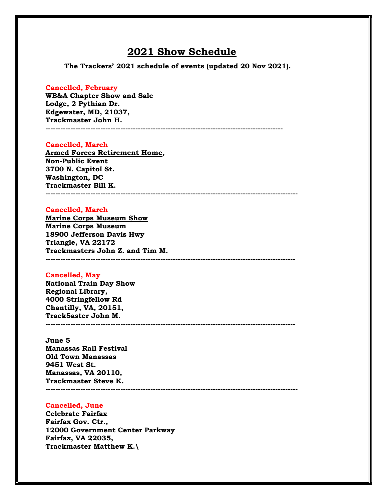# 2021 Show Schedule

The Trackers' 2021 schedule of events (updated 20 Nov 2021).

# Cancelled, February

WB&A Chapter Show and Sale Lodge, 2 Pythian Dr. Edgewater, MD, 21037, Trackmaster John H. -----------------------------------------------------------------------------------------------

### Cancelled, March

Armed Forces Retirement Home, Non-Public Event 3700 N. Capitol St. Washington, DC Trackmaster Bill K. -----------------------------------------------------------------------------------------------------

## Cancelled, March

Marine Corps Museum Show Marine Corps Museum 18900 Jefferson Davis Hwy Triangle, VA 22172 Trackmasters John Z. and Tim M. ----------------------------------------------------------------------------------------------------

### Cancelled, May

National Train Day Show Regional Library, 4000 Stringfellow Rd Chantilly, VA, 20151, Track5aster John M. ----------------------------------------------------------------------------------------------------

## June 5

Manassas Rail Festival Old Town Manassas 9451 West St. Manassas, VA 20110, Trackmaster Steve K. -----------------------------------------------------------------------------------------------------

# Cancelled, June

Celebrate Fairfax Fairfax Gov. Ctr., 12000 Government Center Parkway Fairfax, VA 22035, Trackmaster Matthew K.\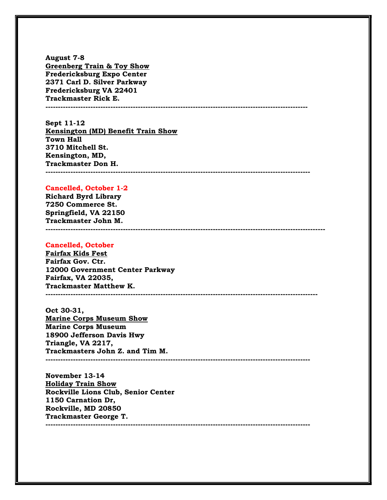August 7-8 Greenberg Train & Toy Show Fredericksburg Expo Center 2371 Carl D. Silver Parkway Fredericksburg VA 22401 Trackmaster Rick E. ---------------------------------------------------------------------------------------------------------

Sept 11-12 Kensington (MD) Benefit Train Show Town Hall 3710 Mitchell St. Kensington, MD, Trackmaster Don H. ----------------------------------------------------------------------------------------------------------

### Cancelled, October 1-2

Richard Byrd Library 7250 Commerce St. Springfield, VA 22150 Trackmaster John M.

#### ----------------------------------------------------------------------------------------------------------------

### Cancelled, October

Fairfax Kids Fest Fairfax Gov. Ctr. 12000 Government Center Parkway Fairfax, VA 22035, Trackmaster Matthew K. -------------------------------------------------------------------------------------------------------------

### Oct 30-31,

Marine Corps Museum Show Marine Corps Museum 18900 Jefferson Davis Hwy Triangle, VA 2217, Trackmasters John Z. and Tim M. ----------------------------------------------------------------------------------------------------------

November 13-14 Holiday Train Show Rockville Lions Club, Senior Center 1150 Carnation Dr, Rockville, MD 20850 Trackmaster George T. ----------------------------------------------------------------------------------------------------------